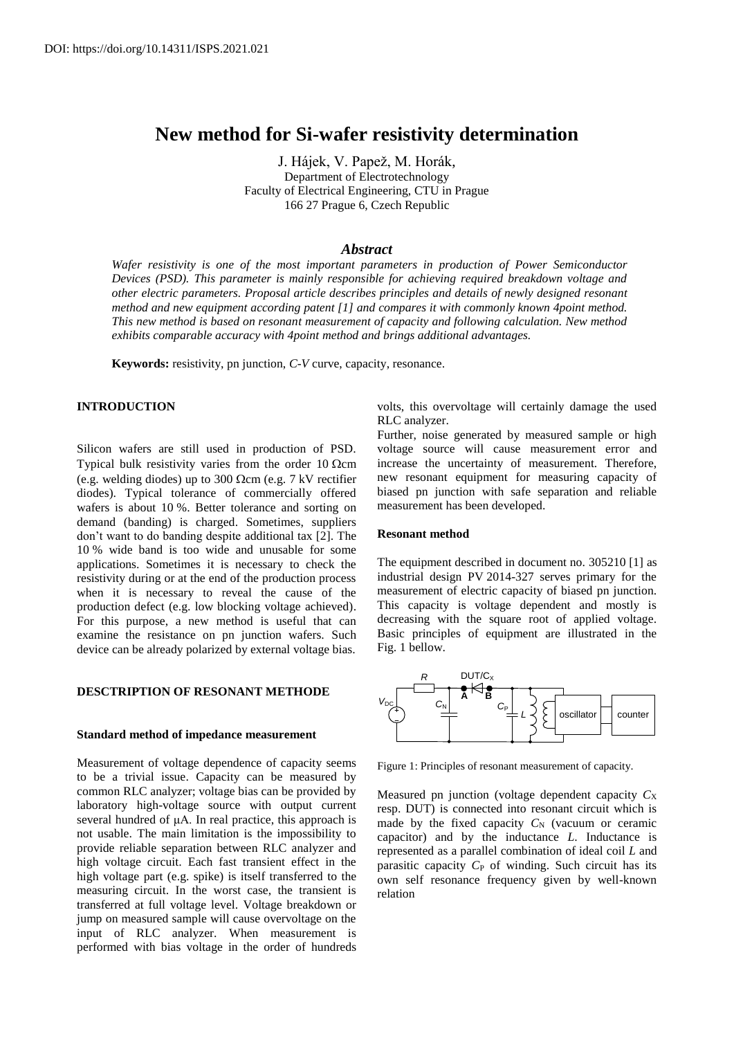# **New method for Si-wafer resistivity determination**

J. Hájek, V. Papež, M. Horák, Department of Electrotechnology Faculty of Electrical Engineering, CTU in Prague 166 27 Prague 6, Czech Republic

## *Abstract*

*Wafer resistivity is one of the most important parameters in production of Power Semiconductor Devices (PSD). This parameter is mainly responsible for achieving required breakdown voltage and other electric parameters. Proposal article describes principles and details of newly designed resonant method and new equipment according patent [1] and compares it with commonly known 4point method. This new method is based on resonant measurement of capacity and following calculation. New method exhibits comparable accuracy with 4point method and brings additional advantages.*

**Keywords:** resistivity, pn junction, *C*-*V* curve, capacity, resonance.

# **INTRODUCTION**

Silicon wafers are still used in production of PSD. Typical bulk resistivity varies from the order 10  $\Omega$ cm (e.g. welding diodes) up to 300  $\Omega$ cm (e.g. 7 kV rectifier diodes). Typical tolerance of commercially offered wafers is about 10 %. Better tolerance and sorting on demand (banding) is charged. Sometimes, suppliers don't want to do banding despite additional tax [2]. The 10 % wide band is too wide and unusable for some applications. Sometimes it is necessary to check the resistivity during or at the end of the production process when it is necessary to reveal the cause of the production defect (e.g. low blocking voltage achieved). For this purpose, a new method is useful that can examine the resistance on pn junction wafers. Such device can be already polarized by external voltage bias.

## **DESCTRIPTION OF RESONANT METHODE**

## **Standard method of impedance measurement**

Measurement of voltage dependence of capacity seems to be a trivial issue. Capacity can be measured by common RLC analyzer; voltage bias can be provided by laboratory high-voltage source with output current several hundred of μA. In real practice, this approach is not usable. The main limitation is the impossibility to provide reliable separation between RLC analyzer and high voltage circuit. Each fast transient effect in the high voltage part (e.g. spike) is itself transferred to the measuring circuit. In the worst case, the transient is transferred at full voltage level. Voltage breakdown or jump on measured sample will cause overvoltage on the input of RLC analyzer. When measurement is performed with bias voltage in the order of hundreds

volts, this overvoltage will certainly damage the used RLC analyzer.

Further, noise generated by measured sample or high voltage source will cause measurement error and increase the uncertainty of measurement. Therefore, new resonant equipment for measuring capacity of biased pn junction with safe separation and reliable measurement has been developed.

# **Resonant method**

The equipment described in document no. 305210 [1] as industrial design PV 2014-327 serves primary for the measurement of electric capacity of biased pn junction. This capacity is voltage dependent and mostly is decreasing with the square root of applied voltage. Basic principles of equipment are illustrated in the Fig. 1 bellow.



Figure 1: Principles of resonant measurement of capacity.

Measured pn junction (voltage dependent capacity  $C_X$ resp. DUT) is connected into resonant circuit which is made by the fixed capacity  $C_N$  (vacuum or ceramic capacitor) and by the inductance *L*. Inductance is represented as a parallel combination of ideal coil *L* and parasitic capacity  $C_P$  of winding. Such circuit has its own self resonance frequency given by well-known relation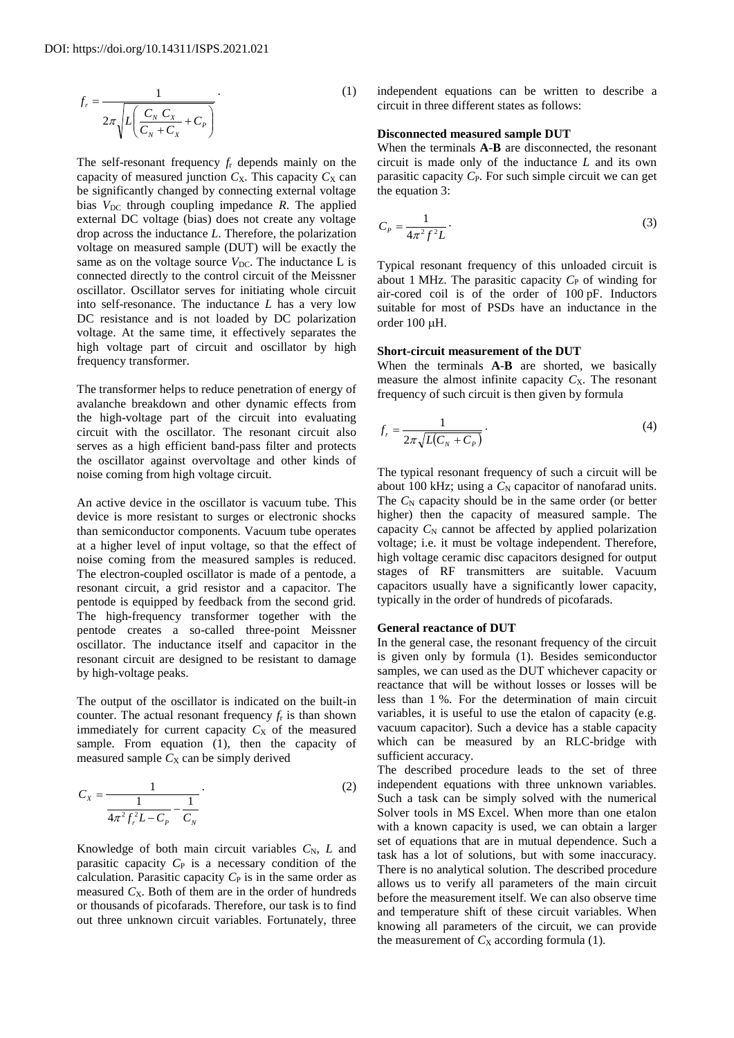$$
f_r = \frac{1}{2\pi\sqrt{L\left(\frac{C_N C_X}{C_N + C_X} + C_p\right)}}.\tag{1}
$$

The self-resonant frequency *f*<sup>r</sup> depends mainly on the capacity of measured junction  $C_X$ . This capacity  $C_X$  can be significantly changed by connecting external voltage bias  $V_{DC}$  through coupling impedance  $R$ . The applied external DC voltage (bias) does not create any voltage drop across the inductance *L*. Therefore, the polarization voltage on measured sample (DUT) will be exactly the same as on the voltage source *V*<sub>DC</sub>. The inductance L is connected directly to the control circuit of the Meissner oscillator. Oscillator serves for initiating whole circuit into self-resonance. The inductance *L* has a very low DC resistance and is not loaded by DC polarization voltage. At the same time, it effectively separates the high voltage part of circuit and oscillator by high frequency transformer.

The transformer helps to reduce penetration of energy of avalanche breakdown and other dynamic effects from the high-voltage part of the circuit into evaluating circuit with the oscillator. The resonant circuit also serves as a high efficient band-pass filter and protects the oscillator against overvoltage and other kinds of noise coming from high voltage circuit.

An active device in the oscillator is vacuum tube. This device is more resistant to surges or electronic shocks than semiconductor components. Vacuum tube operates at a higher level of input voltage, so that the effect of noise coming from the measured samples is reduced. The electron-coupled oscillator is made of a pentode, a resonant circuit, a grid resistor and a capacitor. The pentode is equipped by feedback from the second grid. The high-frequency transformer together with the pentode creates a so-called three-point Meissner oscillator. The inductance itself and capacitor in the resonant circuit are designed to be resistant to damage by high-voltage peaks.

The output of the oscillator is indicated on the built-in counter. The actual resonant frequency  $f_r$  is than shown immediately for current capacity  $C_X$  of the measured sample. From equation (1), then the capacity of measured sample  $C_X$  can be simply derived

$$
C_{X} = \frac{1}{\frac{1}{4\pi^{2}f_{r}^{2}L - C_{p}} - \frac{1}{C_{N}}}
$$
 (2)

Knowledge of both main circuit variables  $C_N$ , *L* and parasitic capacity  $C_P$  is a necessary condition of the calculation. Parasitic capacity  $C_P$  is in the same order as measured  $C_X$ . Both of them are in the order of hundreds or thousands of picofarads. Therefore, our task is to find out three unknown circuit variables. Fortunately, three

independent equations can be written to describe a circuit in three different states as follows:

# **Disconnected measured sample DUT**

When the terminals **A**-**B** are disconnected, the resonant circuit is made only of the inductance *L* and its own parasitic capacity *C*<sub>P</sub>. For such simple circuit we can get the equation 3:

$$
C_P = \frac{1}{4\pi^2 f^2 L} \tag{3}
$$

Typical resonant frequency of this unloaded circuit is about 1 MHz. The parasitic capacity  $C_{\rm P}$  of winding for air-cored coil is of the order of 100 pF. Inductors suitable for most of PSDs have an inductance in the order 100 µH.

## **Short-circuit measurement of the DUT**

When the terminals **A**-**B** are shorted, we basically measure the almost infinite capacity  $C_X$ . The resonant frequency of such circuit is then given by formula

$$
f_r = \frac{1}{2\pi\sqrt{L(C_N + C_P)}}.\tag{4}
$$

The typical resonant frequency of such a circuit will be about 100 kHz; using a  $C_N$  capacitor of nanofarad units. The  $C_N$  capacity should be in the same order (or better higher) then the capacity of measured sample. The capacity  $C_N$  cannot be affected by applied polarization voltage; i.e. it must be voltage independent. Therefore, high voltage ceramic disc capacitors designed for output stages of RF transmitters are suitable. Vacuum capacitors usually have a significantly lower capacity, typically in the order of hundreds of picofarads.

## **General reactance of DUT**

In the general case, the resonant frequency of the circuit is given only by formula (1). Besides semiconductor samples, we can used as the DUT whichever capacity or reactance that will be without losses or losses will be less than 1 %. For the determination of main circuit variables, it is useful to use the etalon of capacity (e.g. vacuum capacitor). Such a device has a stable capacity which can be measured by an RLC-bridge with sufficient accuracy.

The described procedure leads to the set of three independent equations with three unknown variables. Such a task can be simply solved with the numerical Solver tools in MS Excel. When more than one etalon with a known capacity is used, we can obtain a larger set of equations that are in mutual dependence. Such a task has a lot of solutions, but with some inaccuracy. There is no analytical solution. The described procedure allows us to verify all parameters of the main circuit before the measurement itself. We can also observe time and temperature shift of these circuit variables. When knowing all parameters of the circuit, we can provide the measurement of  $C_X$  according formula (1).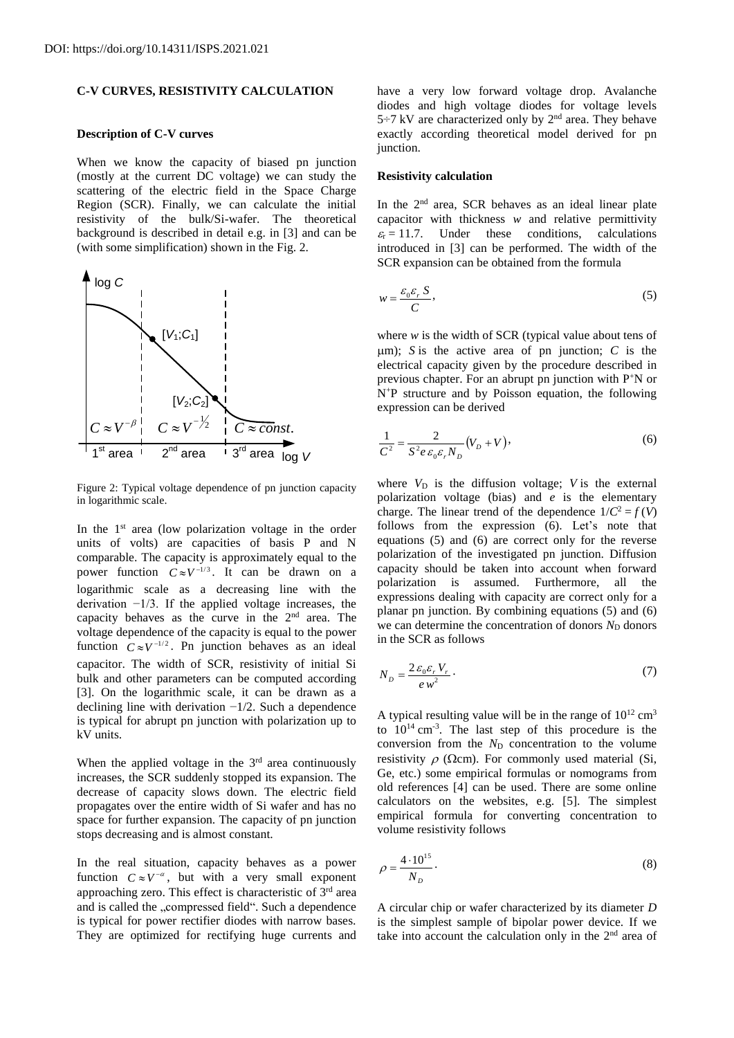# **C-V CURVES, RESISTIVITY CALCULATION**

#### **Description of C-V curves**

When we know the capacity of biased pn junction (mostly at the current DC voltage) we can study the scattering of the electric field in the Space Charge Region (SCR). Finally, we can calculate the initial resistivity of the bulk/Si-wafer. The theoretical background is described in detail e.g. in [3] and can be (with some simplification) shown in the Fig. 2.



Figure 2: Typical voltage dependence of pn junction capacity in logarithmic scale.

In the 1<sup>st</sup> area (low polarization voltage in the order units of volts) are capacities of basis P and N comparable. The capacity is approximately equal to the power function  $C \approx V^{-1/3}$ . It can be drawn on a logarithmic scale as a decreasing line with the derivation −1/3. If the applied voltage increases, the capacity behaves as the curve in the 2nd area. The voltage dependence of the capacity is equal to the power function  $C \approx V^{-1/2}$ . Pn junction behaves as an ideal capacitor. The width of SCR, resistivity of initial Si bulk and other parameters can be computed according [3]. On the logarithmic scale, it can be drawn as a declining line with derivation −1/2. Such a dependence is typical for abrupt pn junction with polarization up to kV units.

When the applied voltage in the  $3<sup>rd</sup>$  area continuously increases, the SCR suddenly stopped its expansion. The decrease of capacity slows down. The electric field propagates over the entire width of Si wafer and has no space for further expansion. The capacity of pn junction stops decreasing and is almost constant.

In the real situation, capacity behaves as a power function  $C \approx V^{-\alpha}$ , but with a very small exponent approaching zero. This effect is characteristic of 3<sup>rd</sup> area and is called the "compressed field". Such a dependence is typical for power rectifier diodes with narrow bases. They are optimized for rectifying huge currents and

have a very low forward voltage drop. Avalanche diodes and high voltage diodes for voltage levels  $5\div7$  kV are characterized only by  $2<sup>nd</sup>$  area. They behave exactly according theoretical model derived for pn junction.

#### **Resistivity calculation**

In the  $2<sup>nd</sup>$  area, SCR behaves as an ideal linear plate capacitor with thickness *w* and relative permittivity  $\varepsilon_r = 11.7$ . Under these conditions, calculations introduced in [3] can be performed. The width of the SCR expansion can be obtained from the formula

$$
w = \frac{\varepsilon_0 \varepsilon_r \, S}{C},\tag{5}
$$

where *w* is the width of SCR (typical value about tens of  $\mu$ m); *S* is the active area of pn junction; *C* is the electrical capacity given by the procedure described in previous chapter. For an abrupt pn junction with P<sup>+</sup>N or N<sup>+</sup>P structure and by Poisson equation, the following expression can be derived

$$
\frac{1}{C^2} = \frac{2}{S^2 e \, \varepsilon_0 \varepsilon_r N_D} (V_D + V),\tag{6}
$$

where  $V_D$  is the diffusion voltage; *V* is the external polarization voltage (bias) and *e* is the elementary charge. The linear trend of the dependence  $1/C^2 = f(V)$ follows from the expression (6). Let's note that equations (5) and (6) are correct only for the reverse polarization of the investigated pn junction. Diffusion capacity should be taken into account when forward polarization is assumed. Furthermore, all the expressions dealing with capacity are correct only for a planar pn junction. By combining equations (5) and (6) we can determine the concentration of donors *N*<sub>D</sub> donors in the SCR as follows

$$
N_D = \frac{2\,\varepsilon_0 \varepsilon_r \, V_r}{e \, w^2} \,. \tag{7}
$$

A typical resulting value will be in the range of  $10^{12}$  cm<sup>3</sup> to  $10^{14}$  cm<sup>-3</sup>. The last step of this procedure is the conversion from the  $N_D$  concentration to the volume resistivity  $\rho$  ( $\Omega$ cm). For commonly used material (Si, Ge, etc.) some empirical formulas or nomograms from old references [4] can be used. There are some online calculators on the websites, e.g. [5]. The simplest empirical formula for converting concentration to volume resistivity follows

$$
\rho = \frac{4 \cdot 10^{15}}{N_D}.
$$
\n(8)

A circular chip or wafer characterized by its diameter *D* is the simplest sample of bipolar power device. If we take into account the calculation only in the  $2<sup>nd</sup>$  area of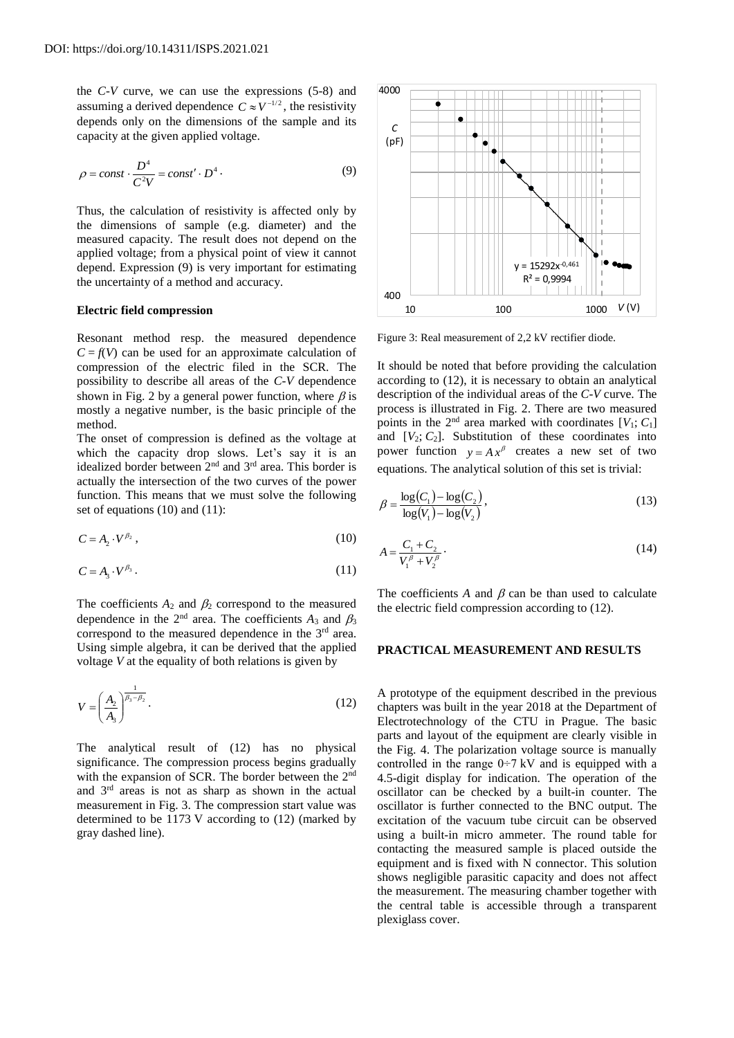the *C*-*V* curve, we can use the expressions (5-8) and assuming a derived dependence  $C \approx V^{-1/2}$ , the resistivity depends only on the dimensions of the sample and its capacity at the given applied voltage.

$$
\rho = const \cdot \frac{D^4}{C^2 V} = const' \cdot D^4 \cdot \tag{9}
$$

Thus, the calculation of resistivity is affected only by the dimensions of sample (e.g. diameter) and the measured capacity. The result does not depend on the applied voltage; from a physical point of view it cannot depend. Expression (9) is very important for estimating the uncertainty of a method and accuracy.

#### **Electric field compression**

Resonant method resp. the measured dependence  $C = f(V)$  can be used for an approximate calculation of compression of the electric filed in the SCR. The possibility to describe all areas of the *C*-*V* dependence shown in Fig. 2 by a general power function, where  $\beta$  is mostly a negative number, is the basic principle of the method.

The onset of compression is defined as the voltage at which the capacity drop slows. Let's say it is an idealized border between 2nd and 3rd area. This border is actually the intersection of the two curves of the power function. This means that we must solve the following set of equations (10) and (11):

$$
C = A_2 \cdot V^{\beta_2},\tag{10}
$$

$$
C = A_3 \cdot V^{\beta_3} \,. \tag{11}
$$

The coefficients  $A_2$  and  $\beta_2$  correspond to the measured dependence in the  $2<sup>nd</sup>$  area. The coefficients  $A_3$  and  $\beta_3$ correspond to the measured dependence in the 3<sup>rd</sup> area. Using simple algebra, it can be derived that the applied voltage *V* at the equality of both relations is given by

$$
V = \left(\frac{A_2}{A_3}\right)^{\frac{1}{\beta_3 - \beta_2}}.\tag{12}
$$

The analytical result of (12) has no physical significance. The compression process begins gradually with the expansion of SCR. The border between the 2<sup>nd</sup> and 3rd areas is not as sharp as shown in the actual measurement in Fig. 3. The compression start value was determined to be 1173 V according to (12) (marked by gray dashed line).



Figure 3: Real measurement of 2,2 kV rectifier diode.

It should be noted that before providing the calculation according to (12), it is necessary to obtain an analytical description of the individual areas of the *C*-*V* curve. The process is illustrated in Fig. 2. There are two measured points in the  $2<sup>nd</sup>$  area marked with coordinates  $[V_1; C_1]$ and  $[V_2; C_2]$ . Substitution of these coordinates into power function  $y = Ax^{\beta}$  creates a new set of two equations. The analytical solution of this set is trivial:

$$
\beta = \frac{\log(C_1) - \log(C_2)}{\log(V_1) - \log(V_2)},
$$
\n(13)

$$
A = \frac{C_1 + C_2}{V_1^{\beta} + V_2^{\beta}}.
$$
\n(14)

The coefficients A and  $\beta$  can be than used to calculate the electric field compression according to (12).

## **PRACTICAL MEASUREMENT AND RESULTS**

A prototype of the equipment described in the previous chapters was built in the year 2018 at the Department of Electrotechnology of the CTU in Prague. The basic parts and layout of the equipment are clearly visible in the Fig. 4. The polarization voltage source is manually controlled in the range  $0\div 7$  kV and is equipped with a 4.5-digit display for indication. The operation of the oscillator can be checked by a built-in counter. The oscillator is further connected to the BNC output. The excitation of the vacuum tube circuit can be observed using a built-in micro ammeter. The round table for contacting the measured sample is placed outside the equipment and is fixed with N connector. This solution shows negligible parasitic capacity and does not affect the measurement. The measuring chamber together with the central table is accessible through a transparent plexiglass cover.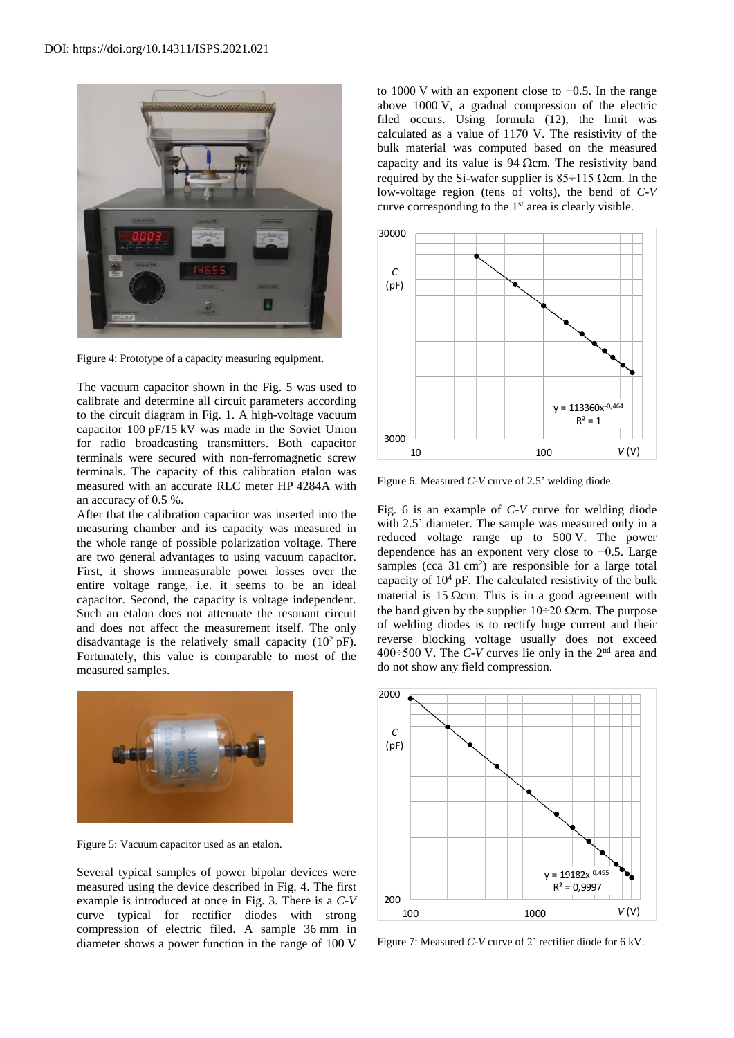

Figure 4: Prototype of a capacity measuring equipment.

The vacuum capacitor shown in the Fig. 5 was used to calibrate and determine all circuit parameters according to the circuit diagram in Fig. 1. A high-voltage vacuum capacitor 100 pF/15 kV was made in the Soviet Union for radio broadcasting transmitters. Both capacitor terminals were secured with non-ferromagnetic screw terminals. The capacity of this calibration etalon was measured with an accurate RLC meter HP 4284A with an accuracy of 0.5 %.

After that the calibration capacitor was inserted into the measuring chamber and its capacity was measured in the whole range of possible polarization voltage. There are two general advantages to using vacuum capacitor. First, it shows immeasurable power losses over the entire voltage range, i.e. it seems to be an ideal capacitor. Second, the capacity is voltage independent. Such an etalon does not attenuate the resonant circuit and does not affect the measurement itself. The only disadvantage is the relatively small capacity  $(10^2 \text{ pF})$ . Fortunately, this value is comparable to most of the measured samples.



Figure 5: Vacuum capacitor used as an etalon.

Several typical samples of power bipolar devices were measured using the device described in Fig. 4. The first example is introduced at once in Fig. 3. There is a *C*-*V* curve typical for rectifier diodes with strong compression of electric filed. A sample 36 mm in diameter shows a power function in the range of 100 V to 1000 V with an exponent close to −0.5. In the range above 1000 V, a gradual compression of the electric filed occurs. Using formula (12), the limit was calculated as a value of 1170 V. The resistivity of the bulk material was computed based on the measured capacity and its value is  $94 \Omega$ cm. The resistivity band required by the Si-wafer supplier is  $85 \div 115$  Qcm. In the low-voltage region (tens of volts), the bend of *C*-*V* curve corresponding to the  $1<sup>st</sup>$  area is clearly visible.



Figure 6: Measured *C*-*V* curve of 2.5' welding diode.

Fig. 6 is an example of *C*-*V* curve for welding diode with 2.5' diameter. The sample was measured only in a reduced voltage range up to 500 V. The power dependence has an exponent very close to −0.5. Large samples (cca  $31 \text{ cm}^2$ ) are responsible for a large total capacity of  $10<sup>4</sup>$  pF. The calculated resistivity of the bulk material is 15  $\Omega$ cm. This is in a good agreement with the band given by the supplier  $10\div 20$  Qcm. The purpose of welding diodes is to rectify huge current and their reverse blocking voltage usually does not exceed 400÷500 V. The *C*-*V* curves lie only in the 2nd area and do not show any field compression.



Figure 7: Measured *C*-*V* curve of 2' rectifier diode for 6 kV.